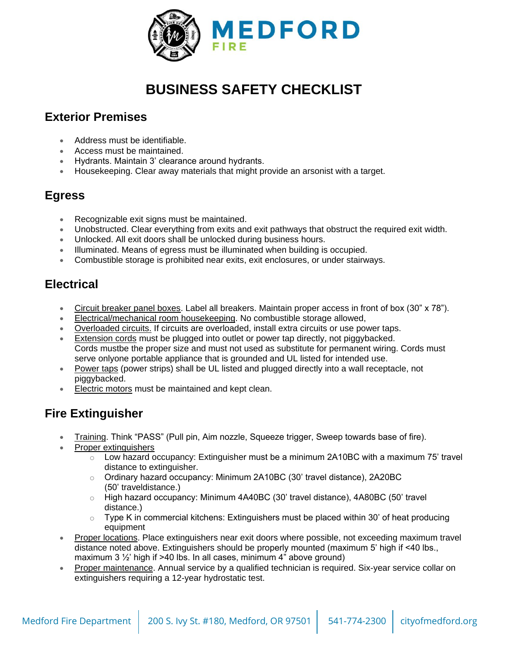

# **BUSINESS SAFETY CHECKLIST**

# **Exterior Premises**

- Address must be identifiable.
- Access must be maintained.
- Hydrants. Maintain 3' clearance around hydrants.
- Housekeeping. Clear away materials that might provide an arsonist with a target.

# **Egress**

- Recognizable exit signs must be maintained.
- Unobstructed. Clear everything from exits and exit pathways that obstruct the required exit width.
- Unlocked. All exit doors shall be unlocked during business hours.
- Illuminated. Means of egress must be illuminated when building is occupied.
- Combustible storage is prohibited near exits, exit enclosures, or under stairways.

# **Electrical**

- Circuit breaker panel boxes. Label all breakers. Maintain proper access in front of box (30" x 78").
- Electrical/mechanical room housekeeping. No combustible storage allowed,
- Overloaded circuits. If circuits are overloaded, install extra circuits or use power taps.
- Extension cords must be plugged into outlet or power tap directly, not piggybacked. Cords mustbe the proper size and must not used as substitute for permanent wiring. Cords must serve onlyone portable appliance that is grounded and UL listed for intended use.
- Power taps (power strips) shall be UL listed and plugged directly into a wall receptacle, not piggybacked.
- Electric motors must be maintained and kept clean.

# **Fire Extinguisher**

- Training. Think "PASS" (Pull pin, Aim nozzle, Squeeze trigger, Sweep towards base of fire).
- Proper extinguishers
	- $\circ$  Low hazard occupancy: Extinguisher must be a minimum 2A10BC with a maximum 75' travel distance to extinguisher.
	- o Ordinary hazard occupancy: Minimum 2A10BC (30' travel distance), 2A20BC (50' traveldistance.)
	- o High hazard occupancy: Minimum 4A40BC (30' travel distance), 4A80BC (50' travel distance.)
	- $\circ$  Type K in commercial kitchens: Extinguishers must be placed within 30' of heat producing equipment
- Proper locations. Place extinguishers near exit doors where possible, not exceeding maximum travel distance noted above. Extinguishers should be properly mounted (maximum 5' high if <40 lbs., maximum 3 ½' high if >40 lbs. In all cases, minimum 4" above ground)
- Proper maintenance. Annual service by a qualified technician is required. Six-year service collar on extinguishers requiring a 12-year hydrostatic test.